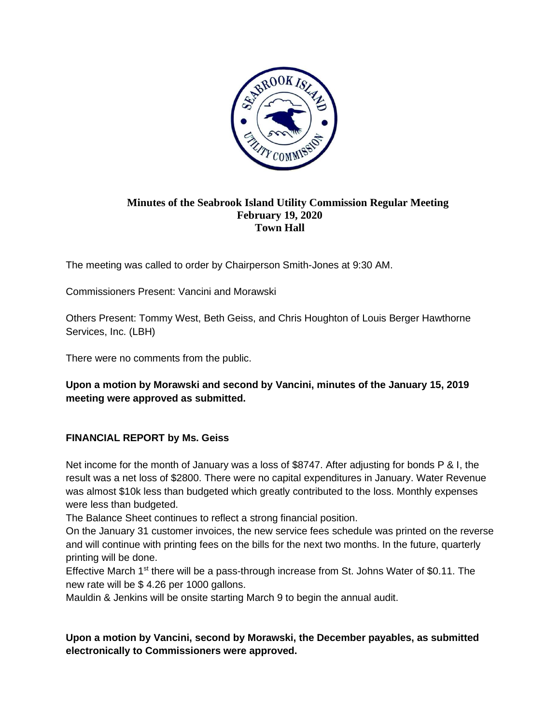

## **Minutes of the Seabrook Island Utility Commission Regular Meeting February 19, 2020 Town Hall**

The meeting was called to order by Chairperson Smith-Jones at 9:30 AM.

Commissioners Present: Vancini and Morawski

Others Present: Tommy West, Beth Geiss, and Chris Houghton of Louis Berger Hawthorne Services, Inc. (LBH)

There were no comments from the public.

**Upon a motion by Morawski and second by Vancini, minutes of the January 15, 2019 meeting were approved as submitted.**

## **FINANCIAL REPORT by Ms. Geiss**

Net income for the month of January was a loss of \$8747. After adjusting for bonds P & I, the result was a net loss of \$2800. There were no capital expenditures in January. Water Revenue was almost \$10k less than budgeted which greatly contributed to the loss. Monthly expenses were less than budgeted.

The Balance Sheet continues to reflect a strong financial position.

On the January 31 customer invoices, the new service fees schedule was printed on the reverse and will continue with printing fees on the bills for the next two months. In the future, quarterly printing will be done.

Effective March 1<sup>st</sup> there will be a pass-through increase from St. Johns Water of \$0.11. The new rate will be \$ 4.26 per 1000 gallons.

Mauldin & Jenkins will be onsite starting March 9 to begin the annual audit.

**Upon a motion by Vancini, second by Morawski, the December payables, as submitted electronically to Commissioners were approved.**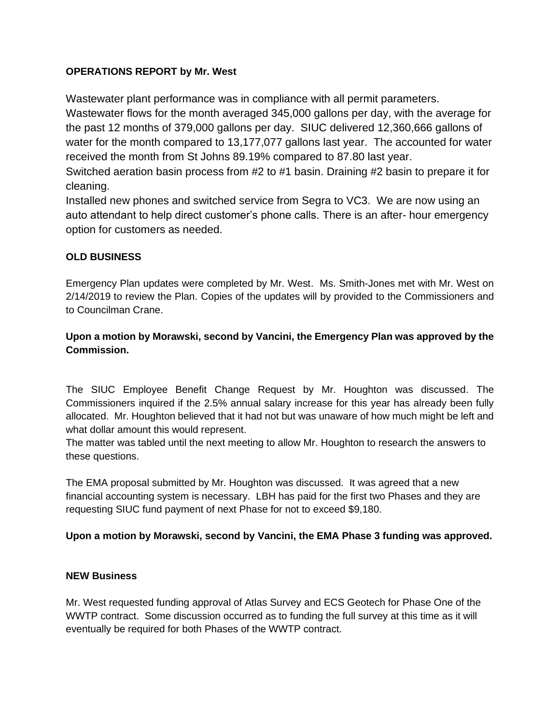# **OPERATIONS REPORT by Mr. West**

Wastewater plant performance was in compliance with all permit parameters.

Wastewater flows for the month averaged 345,000 gallons per day, with the average for the past 12 months of 379,000 gallons per day. SIUC delivered 12,360,666 gallons of water for the month compared to 13,177,077 gallons last year. The accounted for water received the month from St Johns 89.19% compared to 87.80 last year.

Switched aeration basin process from #2 to #1 basin. Draining #2 basin to prepare it for cleaning.

Installed new phones and switched service from Segra to VC3. We are now using an auto attendant to help direct customer's phone calls. There is an after- hour emergency option for customers as needed.

## **OLD BUSINESS**

Emergency Plan updates were completed by Mr. West. Ms. Smith-Jones met with Mr. West on 2/14/2019 to review the Plan. Copies of the updates will by provided to the Commissioners and to Councilman Crane.

# **Upon a motion by Morawski, second by Vancini, the Emergency Plan was approved by the Commission.**

The SIUC Employee Benefit Change Request by Mr. Houghton was discussed. The Commissioners inquired if the 2.5% annual salary increase for this year has already been fully allocated. Mr. Houghton believed that it had not but was unaware of how much might be left and what dollar amount this would represent.

The matter was tabled until the next meeting to allow Mr. Houghton to research the answers to these questions.

The EMA proposal submitted by Mr. Houghton was discussed. It was agreed that a new financial accounting system is necessary. LBH has paid for the first two Phases and they are requesting SIUC fund payment of next Phase for not to exceed \$9,180.

## **Upon a motion by Morawski, second by Vancini, the EMA Phase 3 funding was approved.**

## **NEW Business**

Mr. West requested funding approval of Atlas Survey and ECS Geotech for Phase One of the WWTP contract. Some discussion occurred as to funding the full survey at this time as it will eventually be required for both Phases of the WWTP contract.